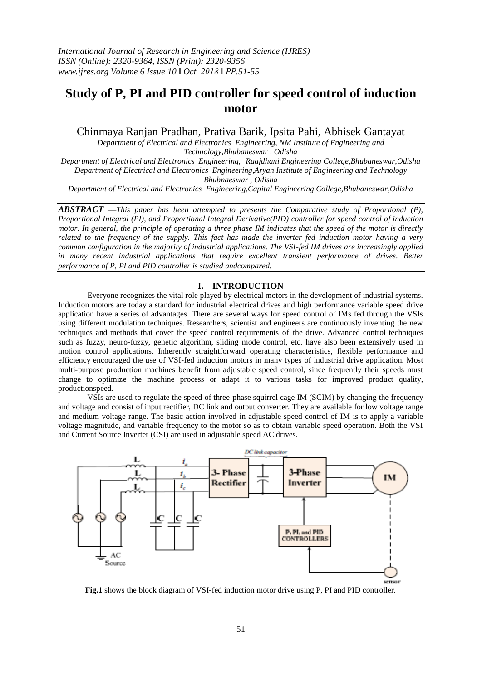# **Study of P, PI and PID controller for speed control of induction motor**

Chinmaya Ranjan Pradhan, Prativa Barik, Ipsita Pahi, Abhisek Gantayat

*Department of Electrical and Electronics Engineering, NM Institute of Engineering and Technology,Bhubaneswar , Odisha Department of Electrical and Electronics Engineering, Raajdhani Engineering College,Bhubaneswar,Odisha Department of Electrical and Electronics Engineering,Aryan Institute of Engineering and Technology Bhubnaeswar , Odisha*

*Department of Electrical and Electronics Engineering,Capital Engineering College,Bhubaneswar,Odisha*

*ABSTRACT —This paper has been attempted to presents the Comparative study of Proportional (P), Proportional Integral (PI), and Proportional Integral Derivative(PID) controller for speed control of induction motor. In general, the principle of operating a three phase IM indicates that the speed of the motor is directly related to the frequency of the supply. This fact has made the inverter fed induction motor having a very common configuration in the majority of industrial applications. The VSI-fed IM drives are increasingly applied in many recent industrial applications that require excellent transient performance of drives. Better performance of P, PI and PID controller is studied andcompared.*

## **I. INTRODUCTION**

Everyone recognizes the vital role played by electrical motors in the development of industrial systems. Induction motors are today a standard for industrial electrical drives and high performance variable speed drive application have a series of advantages. There are several ways for speed control of IMs fed through the VSIs using different modulation techniques. Researchers, scientist and engineers are continuously inventing the new techniques and methods that cover the speed control requirements of the drive. Advanced control techniques such as fuzzy, neuro-fuzzy, genetic algorithm, sliding mode control, etc. have also been extensively used in motion control applications. Inherently straightforward operating characteristics, flexible performance and efficiency encouraged the use of VSI-fed induction motors in many types of industrial drive application. Most multi-purpose production machines benefit from adjustable speed control, since frequently their speeds must change to optimize the machine process or adapt it to various tasks for improved product quality, productionspeed.

VSIs are used to regulate the speed of three-phase squirrel cage IM (SCIM) by changing the frequency and voltage and consist of input rectifier, DC link and output converter. They are available for low voltage range and medium voltage range. The basic action involved in adjustable speed control of IM is to apply a variable voltage magnitude, and variable frequency to the motor so as to obtain variable speed operation. Both the VSI and Current Source Inverter (CSI) are used in adjustable speed AC drives.



**Fig.1** shows the block diagram of VSI-fed induction motor drive using P, PI and PID controller.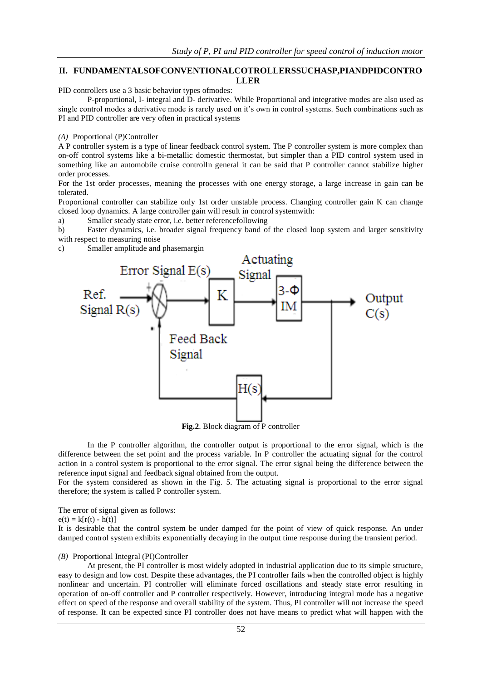## **II. FUNDAMENTALSOFCONVENTIONALCOTROLLERSSUCHASP,PIANDPIDCONTRO LLER**

PID controllers use a 3 basic behavior types ofmodes:

P-proportional, I- integral and D- derivative. While Proportional and integrative modes are also used as single control modes a derivative mode is rarely used on it's own in control systems. Such combinations such as PI and PID controller are very often in practical systems

#### *(A)* Proportional (P)Controller

A P controller system is a type of linear feedback control system. The P controller system is more complex than on-off control systems like a bi-metallic domestic thermostat, but simpler than a PID control system used in something like an automobile cruise controlIn general it can be said that P controller cannot stabilize higher order processes.

For the 1st order processes, meaning the processes with one energy storage, a large increase in gain can be tolerated.

Proportional controller can stabilize only 1st order unstable process. Changing controller gain K can change closed loop dynamics. A large controller gain will result in control systemwith:

a) Smaller steady state error, i.e. better referencefollowing

b) Faster dynamics, i.e. broader signal frequency band of the closed loop system and larger sensitivity with respect to measuring noise

c) Smaller amplitude and phasemargin



**Fig.2**. Block diagram of P controller

In the P controller algorithm, the controller output is proportional to the error signal, which is the difference between the set point and the process variable. In P controller the actuating signal for the control action in a control system is proportional to the error signal. The error signal being the difference between the reference input signal and feedback signal obtained from the output.

For the system considered as shown in the Fig. 5. The actuating signal is proportional to the error signal therefore; the system is called P controller system.

The error of signal given as follows:

 $e(t) = k[r(t) - h(t)]$ 

It is desirable that the control system be under damped for the point of view of quick response. An under damped control system exhibits exponentially decaying in the output time response during the transient period.

## *(B)* Proportional Integral (PI)Controller

At present, the PI controller is most widely adopted in industrial application due to its simple structure, easy to design and low cost. Despite these advantages, the PI controller fails when the controlled object is highly nonlinear and uncertain. PI controller will eliminate forced oscillations and steady state error resulting in operation of on-off controller and P controller respectively. However, introducing integral mode has a negative effect on speed of the response and overall stability of the system. Thus, PI controller will not increase the speed of response. It can be expected since PI controller does not have means to predict what will happen with the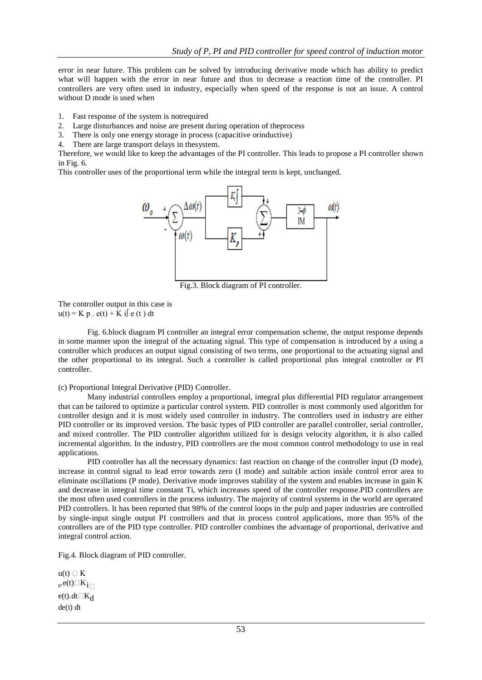error in near future. This problem can be solved by introducing derivative mode which has ability to predict what will happen with the error in near future and thus to decrease a reaction time of the controller. PI controllers are very often used in industry, especially when speed of the response is not an issue. A control without D mode is used when

- 1. Fast response of the system is notrequired
- 2. Large disturbances and noise are present during operation of theprocess
- 3. There is only one energy storage in process (capacitive orinductive)
- 4. There are large transport delays in thesystem.

Therefore, we would like to keep the advantages of the PI controller. This leads to propose a PI controller shown in Fig. 6.

This controller uses of the proportional term while the integral term is kept, unchanged.



Fig.3. Block diagram of PI controller.

The controller output in this case is  $u(t) = K p \cdot e(t) + K i \int e(t) dt$ 

Fig. 6.block diagram PI controller an integral error compensation scheme, the output response depends in some manner upon the integral of the actuating signal. This type of compensation is introduced by a using a controller which produces an output signal consisting of two terms, one proportional to the actuating signal and the other proportional to its integral. Such a controller is called proportional plus integral controller or PI controller.

(c) Proportional Integral Derivative (PID) Controller.

Many industrial controllers employ a proportional, integral plus differential PID regulator arrangement that can be tailored to optimize a particular control system. PID controller is most commonly used algorithm for controller design and it is most widely used controller in industry. The controllers used in industry are either PID controller or its improved version. The basic types of PID controller are parallel controller, serial controller, and mixed controller. The PID controller algorithm utilized for is design velocity algorithm, it is also called incremental algorithm. In the industry, PID controllers are the most common control methodology to use in real applications.

PID controller has all the necessary dynamics: fast reaction on change of the controller input (D mode), increase in control signal to lead error towards zero (I mode) and suitable action inside control error area to eliminate oscillations (P mode). Derivative mode improves stability of the system and enables increase in gain K and decrease in integral time constant Ti, which increases speed of the controller response.PID controllers are the most often used controllers in the process industry. The majority of control systems in the world are operated PID controllers. It has been reported that 98% of the control loops in the pulp and paper industries are controlled by single-input single output PI controllers and that in process control applications, more than 95% of the controllers are of the PID type controller. PID controller combines the advantage of proportional, derivative and integral control action.

Fig.4. Block diagram of PID controller.

 $u(t) \cap K$  $_{p}$ .e(t) $K_{i}$  $e(t)$ .dt $\Box K_d$ de(t) dt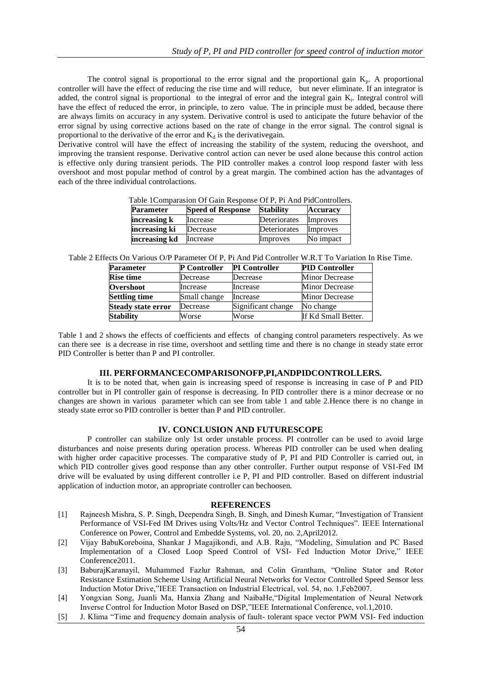The control signal is proportional to the error signal and the proportional gain  $K_p$ . A proportional controller will have the effect of reducing the rise time and will reduce, but never eliminate. If an integrator is added, the control signal is proportional to the integral of error and the integral gain K<sub>i</sub>. Integral control will have the effect of reduced the error, in principle, to zero value. The in principle must be added, because there are always limits on accuracy in any system. Derivative control is used to anticipate the future behavior of the error signal by using corrective actions based on the rate of change in the error signal. The control signal is proportional to the derivative of the error and  $K_d$  is the derivativegain.

Derivative control will have the effect of increasing the stability of the system, reducing the overshoot, and improving the transient response. Derivative control action can never be used alone because this control action is effective only during transient periods. The PID controller makes a control loop respond faster with less overshoot and most popular method of control by a great margin. The combined action has the advantages of each of the three individual controlactions.

Table 1Comparasion Of Gain Response Of P, Pi And PidControllers.

| <b>Parameter</b> | <b>Speed of Response</b> | <b>Stability</b> | <b>Accuracy</b> |
|------------------|--------------------------|------------------|-----------------|
| increasing k     | Increase                 | Deteriorates     | Improves        |
| increasing ki    | Decrease                 | Deteriorates     | Improves        |
| increasing kd    | Increase                 | Improves         | No impact       |

Table 2 Effects On Various O/P Parameter Of P, Pi And Pid Controller W.R.T To Variation In Rise Time.

| <b>Parameter</b>          | <b>P</b> Controller | <b>PI</b> Controller | <b>PID Controller</b> |
|---------------------------|---------------------|----------------------|-----------------------|
| <b>Rise time</b>          | Decrease            | Decrease             | <b>Minor Decrease</b> |
| <b>Overshoot</b>          | Increase            | Increase             | <b>Minor Decrease</b> |
| <b>Settling time</b>      | Small change        | Increase             | <b>Minor Decrease</b> |
| <b>Steady state error</b> | Decrease            | Significant change   | No change             |
| <b>Stability</b>          | Worse               | Worse                | If Kd Small Better.   |

Table 1 and 2 shows the effects of coefficients and effects of changing control parameters respectively. As we can there see is a decrease in rise time, overshoot and settling time and there is no change in steady state error PID Controller is better than P and PI controller.

## **III. PERFORMANCECOMPARISONOFP,PI,ANDPIDCONTROLLERS.**

It is to be noted that, when gain is increasing speed of response is increasing in case of P and PID controller but in PI controller gain of response is decreasing. In PID controller there is a minor decrease or no changes are shown in various parameter which can see from table 1 and table 2.Hence there is no change in steady state error so PID controller is better than P and PID controller.

### **IV. CONCLUSION AND FUTURESCOPE**

P controller can stabilize only 1st order unstable process. PI controller can be used to avoid large disturbances and noise presents during operation process. Whereas PID controller can be used when dealing with higher order capacitive processes. The comparative study of P, PI and PID Controller is carried out, in which PID controller gives good response than any other controller. Further output response of VSI-Fed IM drive will be evaluated by using different controller i.e P, PI and PID controller. Based on different industrial application of induction motor, an appropriate controller can bechoosen.

#### **REFERENCES**

- [1] Rajneesh Mishra, S. P. Singh, Deependra Singh, B. Singh, and Dinesh Kumar, "Investigation of Transient Performance of VSI-Fed IM Drives using Volts/Hz and Vector Control Techniques". IEEE International Conference on Power, Control and Embedde Systems, vol. 20, no. 2,April2012.
- [2] Vijay BabuKoreboina, Shankar J Magajikondi, and A.B. Raju, "Modeling, Simulation and PC Based Implementation of a Closed Loop Speed Control of VSI- Fed Induction Motor Drive," IEEE Conference2011.
- [3] BaburajKaranayil, Muhammed Fazlur Rahman, and Colin Grantham, "Online Stator and Rotor Resistance Estimation Scheme Using Artificial Neural Networks for Vector Controlled Speed Sensor less Induction Motor Drive,"IEEE Transaction on Industrial Electrical, vol. 54, no. 1,Feb2007.
- [4] Yongxian Song, Juanli Ma, Hanxia Zhang and NaibaHe,"Digital Implementation of Neural Network Inverse Control for Induction Motor Based on DSP,"IEEE International Conference, vol.1,2010.
- [5] J. Klima "Time and frequency domain analysis of fault- tolerant space vector PWM VSI- Fed induction